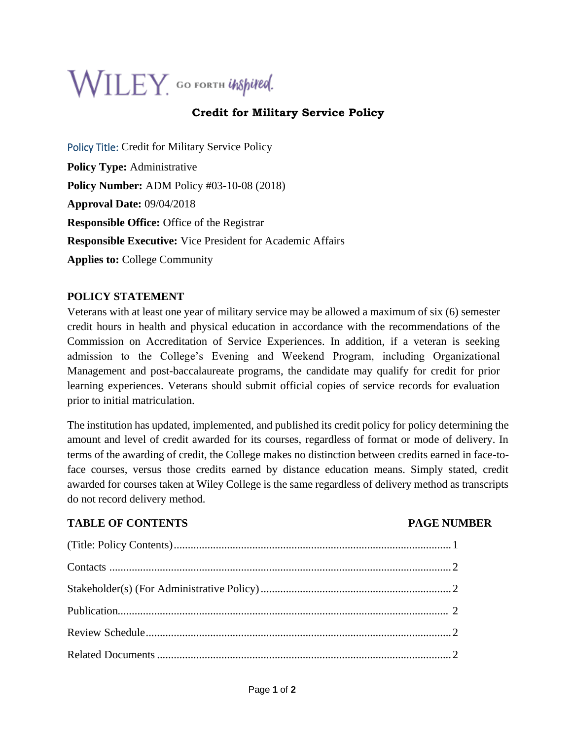# $\mathsf{WILEY}_1$  GO FORTH UNSpited.

# **Credit for Military Service Policy**

Policy Title: Credit for Military Service Policy **Policy Type:** Administrative **Policy Number:** ADM Policy #03-10-08 (2018) **Approval Date:** 09/04/2018 **Responsible Office:** Office of the Registrar **Responsible Executive:** Vice President for Academic Affairs **Applies to:** College Community

#### **POLICY STATEMENT**

Veterans with at least one year of military service may be allowed a maximum of six (6) semester credit hours in health and physical education in accordance with the recommendations of the Commission on Accreditation of Service Experiences. In addition, if a veteran is seeking admission to the College's Evening and Weekend Program, including Organizational Management and post-baccalaureate programs, the candidate may qualify for credit for prior learning experiences. Veterans should submit official copies of service records for evaluation prior to initial matriculation.

The institution has updated, implemented, and published its credit policy for policy determining the amount and level of credit awarded for its courses, regardless of format or mode of delivery. In terms of the awarding of credit, the College makes no distinction between credits earned in face-toface courses, versus those credits earned by distance education means. Simply stated, credit awarded for courses taken at Wiley College is the same regardless of delivery method as transcripts do not record delivery method.

### **TABLE OF CONTENTS PAGE NUMBER**